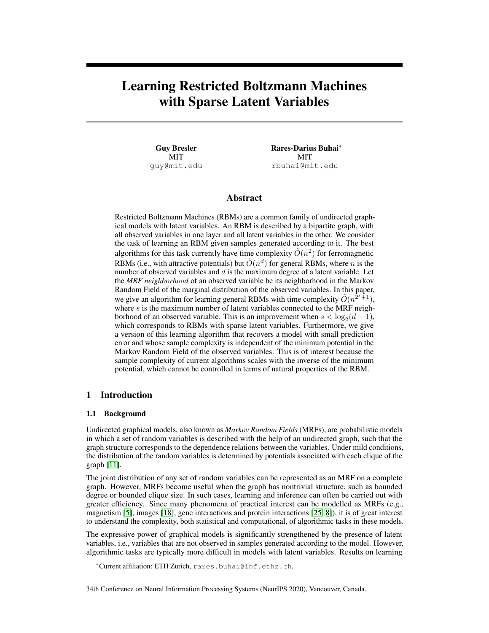# <span id="page-0-0"></span>Learning Restricted Boltzmann Machines with Sparse Latent Variables

Guy Bresler MIT guy@mit.edu Rares-Darius Buhai<sup>∗</sup> **MIT** rbuhai@mit.edu

# Abstract

Restricted Boltzmann Machines (RBMs) are a common family of undirected graphical models with latent variables. An RBM is described by a bipartite graph, with all observed variables in one layer and all latent variables in the other. We consider the task of learning an RBM given samples generated according to it. The best algorithms for this task currently have time complexity  $\tilde{O}(n^2)$  for ferromagnetic RBMs (i.e., with attractive potentials) but  $\tilde{O}(n^d)$  for general RBMs, where n is the number of observed variables and  $d$  is the maximum degree of a latent variable. Let the *MRF neighborhood* of an observed variable be its neighborhood in the Markov Random Field of the marginal distribution of the observed variables. In this paper, we give an algorithm for learning general RBMs with time complexity  $\tilde{O}(n^{2s+1})$ , where  $s$  is the maximum number of latent variables connected to the MRF neighborhood of an observed variable. This is an improvement when  $s < log_2(d-1)$ , which corresponds to RBMs with sparse latent variables. Furthermore, we give a version of this learning algorithm that recovers a model with small prediction error and whose sample complexity is independent of the minimum potential in the Markov Random Field of the observed variables. This is of interest because the sample complexity of current algorithms scales with the inverse of the minimum potential, which cannot be controlled in terms of natural properties of the RBM.

# 1 Introduction

### 1.1 Background

Undirected graphical models, also known as *Markov Random Fields* (MRFs), are probabilistic models in which a set of random variables is described with the help of an undirected graph, such that the graph structure corresponds to the dependence relations between the variables. Under mild conditions, the distribution of the random variables is determined by potentials associated with each clique of the graph [\[11\]](#page-9-0).

The joint distribution of any set of random variables can be represented as an MRF on a complete graph. However, MRFs become useful when the graph has nontrivial structure, such as bounded degree or bounded clique size. In such cases, learning and inference can often be carried out with greater efficiency. Since many phenomena of practical interest can be modelled as MRFs (e.g., magnetism [\[5\]](#page-9-1), images [\[18\]](#page-9-2), gene interactions and protein interactions [\[25,](#page-10-0) [8\]](#page-9-3)), it is of great interest to understand the complexity, both statistical and computational, of algorithmic tasks in these models.

The expressive power of graphical models is significantly strengthened by the presence of latent variables, i.e., variables that are not observed in samples generated according to the model. However, algorithmic tasks are typically more difficult in models with latent variables. Results on learning

<sup>∗</sup>Current affiliation: ETH Zurich, rares.buhai@inf.ethz.ch.

<sup>34</sup>th Conference on Neural Information Processing Systems (NeurIPS 2020), Vancouver, Canada.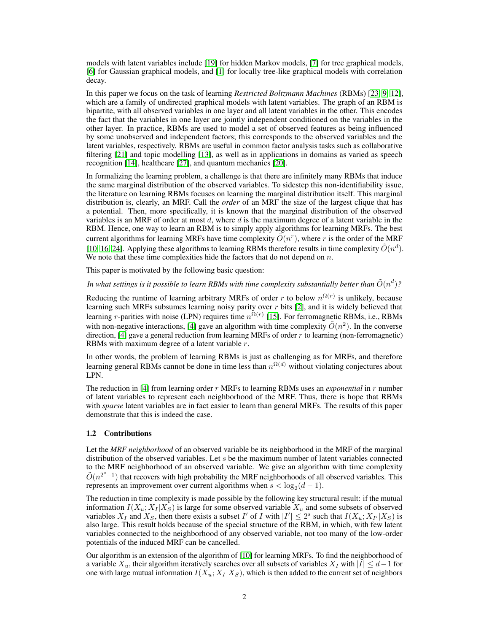models with latent variables include [\[19\]](#page-10-1) for hidden Markov models, [\[7\]](#page-9-4) for tree graphical models, [\[6\]](#page-9-5) for Gaussian graphical models, and [\[1\]](#page-9-6) for locally tree-like graphical models with correlation decay.

In this paper we focus on the task of learning *Restricted Boltzmann Machines* (RBMs) [\[23,](#page-10-2) [9,](#page-9-7) [12\]](#page-9-8), which are a family of undirected graphical models with latent variables. The graph of an RBM is bipartite, with all observed variables in one layer and all latent variables in the other. This encodes the fact that the variables in one layer are jointly independent conditioned on the variables in the other layer. In practice, RBMs are used to model a set of observed features as being influenced by some unobserved and independent factors; this corresponds to the observed variables and the latent variables, respectively. RBMs are useful in common factor analysis tasks such as collaborative filtering [\[21\]](#page-10-3) and topic modelling [\[13\]](#page-9-9), as well as in applications in domains as varied as speech recognition [\[14\]](#page-9-10), healthcare [\[27\]](#page-10-4), and quantum mechanics [\[20\]](#page-10-5).

In formalizing the learning problem, a challenge is that there are infinitely many RBMs that induce the same marginal distribution of the observed variables. To sidestep this non-identifiability issue, the literature on learning RBMs focuses on learning the marginal distribution itself. This marginal distribution is, clearly, an MRF. Call the *order* of an MRF the size of the largest clique that has a potential. Then, more specifically, it is known that the marginal distribution of the observed variables is an MRF of order at most  $d$ , where  $d$  is the maximum degree of a latent variable in the RBM. Hence, one way to learn an RBM is to simply apply algorithms for learning MRFs. The best current algorithms for learning MRFs have time complexity  $\tilde{O}(n^r)$ , where r is the order of the MRF [\[10,](#page-9-11) [16,](#page-9-12) [24\]](#page-10-6). Applying these algorithms to learning RBMs therefore results in time complexity  $\tilde{O}(n^d)$ . We note that these time complexities hide the factors that do not depend on  $n$ .

This paper is motivated by the following basic question:

In what settings is it possible to learn RBMs with time complexity substantially better than  $\tilde{O}(n^d)$ ?

Reducing the runtime of learning arbitrary MRFs of order r to below  $n^{\Omega(r)}$  is unlikely, because learning such MRFs subsumes learning noisy parity over  $r$  bits [\[2\]](#page-9-13), and it is widely believed that learning *r*-parities with noise (LPN) requires time  $n^{\Omega(r)}$  [\[15\]](#page-9-14). For ferromagnetic RBMs, i.e., RBMs with non-negative interactions, [\[4\]](#page-9-15) gave an algorithm with time complexity  $\tilde{O}(n^2)$ . In the converse direction, [\[4\]](#page-9-15) gave a general reduction from learning MRFs of order r to learning (non-ferromagnetic) RBMs with maximum degree of a latent variable r.

In other words, the problem of learning RBMs is just as challenging as for MRFs, and therefore learning general RBMs cannot be done in time less than  $n^{\Omega(d)}$  without violating conjectures about LPN.

The reduction in [\[4\]](#page-9-15) from learning order r MRFs to learning RBMs uses an *exponential* in r number of latent variables to represent each neighborhood of the MRF. Thus, there is hope that RBMs with *sparse* latent variables are in fact easier to learn than general MRFs. The results of this paper demonstrate that this is indeed the case.

# 1.2 Contributions

Let the *MRF neighborhood* of an observed variable be its neighborhood in the MRF of the marginal distribution of the observed variables. Let  $s$  be the maximum number of latent variables connected to the MRF neighborhood of an observed variable. We give an algorithm with time complexity  $\tilde{O}(n^{2^{s}+1})$  that recovers with high probability the MRF neighborhoods of all observed variables. This represents an improvement over current algorithms when  $s < log_2(d-1)$ .

The reduction in time complexity is made possible by the following key structural result: if the mutual information  $I(X_u; X_I | X_S)$  is large for some observed variable  $X_u$  and some subsets of observed variables  $X_I$  and  $X_S$ , then there exists a subset I' of I with  $|I'| \leq 2^s$  such that  $I(X_u; X_{I'}|X_S)$  is also large. This result holds because of the special structure of the RBM, in which, with few latent variables connected to the neighborhood of any observed variable, not too many of the low-order potentials of the induced MRF can be cancelled.

Our algorithm is an extension of the algorithm of [\[10\]](#page-9-11) for learning MRFs. To find the neighborhood of a variable  $X_u$ , their algorithm iteratively searches over all subsets of variables  $X_l$  with  $|I| \leq d-1$  for one with large mutual information  $I(X_u; X_I | X_S)$ , which is then added to the current set of neighbors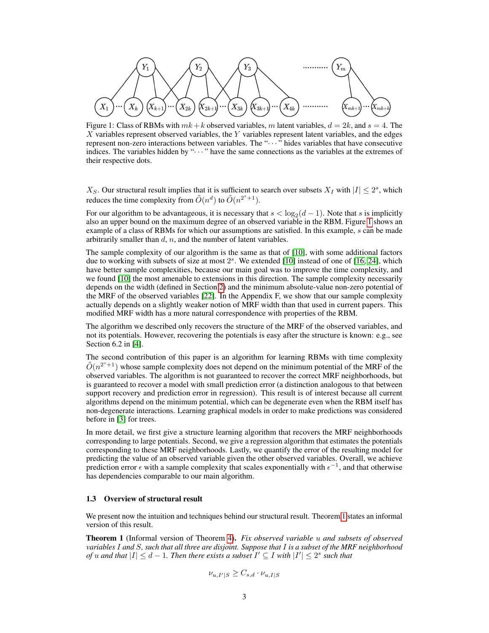<span id="page-2-0"></span>
$$
(X_1)\cdots (X_k)\underbrace{(X_{k+1})\cdots (X_{2k})}_{(X_{2k+1})\cdots (X_{2k})}\underbrace{(X_3)}_{(X_3k+1)}\cdots \underbrace{(X_{4k})}_{(X_{4k})}\cdots \cdots \cdots \cdots \cdots (X_{mk+1})\cdots (X_{mk+k})
$$

Figure 1: Class of RBMs with  $mk+k$  observed variables, m latent variables,  $d = 2k$ , and  $s = 4$ . The X variables represent observed variables, the Y variables represent latent variables, and the edges represent non-zero interactions between variables. The "· · · " hides variables that have consecutive indices. The variables hidden by " $\cdots$  " have the same connections as the variables at the extremes of their respective dots.

 $X_S$ . Our structural result implies that it is sufficient to search over subsets  $X_I$  with  $|I| \leq 2^s$ , which reduces the time complexity from  $\tilde{O}(n^d)$  to  $\tilde{O}(n^{2^s+1})$ .

For our algorithm to be advantageous, it is necessary that  $s < log_2(d-1)$ . Note that s is implicitly also an upper bound on the maximum degree of an observed variable in the RBM. Figure [1](#page-2-0) shows an example of a class of RBMs for which our assumptions are satisfied. In this example, s can be made arbitrarily smaller than  $d, n$ , and the number of latent variables.

The sample complexity of our algorithm is the same as that of [\[10\]](#page-9-11), with some additional factors due to working with subsets of size at most  $2<sup>s</sup>$ . We extended [\[10\]](#page-9-11) instead of one of [\[16,](#page-9-12) [24\]](#page-10-6), which have better sample complexities, because our main goal was to improve the time complexity, and we found [\[10\]](#page-9-11) the most amenable to extensions in this direction. The sample complexity necessarily depends on the width (defined in Section [2\)](#page-3-0) and the minimum absolute-value non-zero potential of the MRF of the observed variables [\[22\]](#page-10-7). In the Appendix F, we show that our sample complexity actually depends on a slightly weaker notion of MRF width than that used in current papers. This modified MRF width has a more natural correspondence with properties of the RBM.

The algorithm we described only recovers the structure of the MRF of the observed variables, and not its potentials. However, recovering the potentials is easy after the structure is known: e.g., see Section 6.2 in [\[4\]](#page-9-15).

The second contribution of this paper is an algorithm for learning RBMs with time complexity  $\tilde{O}(n^{2^{s}+1})$  whose sample complexity does not depend on the minimum potential of the MRF of the observed variables. The algorithm is not guaranteed to recover the correct MRF neighborhoods, but is guaranteed to recover a model with small prediction error (a distinction analogous to that between support recovery and prediction error in regression). This result is of interest because all current algorithms depend on the minimum potential, which can be degenerate even when the RBM itself has non-degenerate interactions. Learning graphical models in order to make predictions was considered before in [\[3\]](#page-9-16) for trees.

In more detail, we first give a structure learning algorithm that recovers the MRF neighborhoods corresponding to large potentials. Second, we give a regression algorithm that estimates the potentials corresponding to these MRF neighborhoods. Lastly, we quantify the error of the resulting model for predicting the value of an observed variable given the other observed variables. Overall, we achieve prediction error  $\epsilon$  with a sample complexity that scales exponentially with  $\epsilon^{-1}$ , and that otherwise has dependencies comparable to our main algorithm.

#### 1.3 Overview of structural result

We present now the intuition and techniques behind our structural result. Theorem [1](#page-2-1) states an informal version of this result.

<span id="page-2-1"></span>Theorem 1 (Informal version of Theorem [4\)](#page-5-0). *Fix observed variable* u *and subsets of observed variables* I *and* S*, such that all three are disjoint. Suppose that* I *is a subset of the MRF neighborhood of* u and that  $|I| \leq d - 1$ . Then there exists a subset  $I' \subseteq I$  with  $|I'| \leq 2^s$  such that

$$
\nu_{u,I'|S} \geq C_{s,d} \cdot \nu_{u,I|S}
$$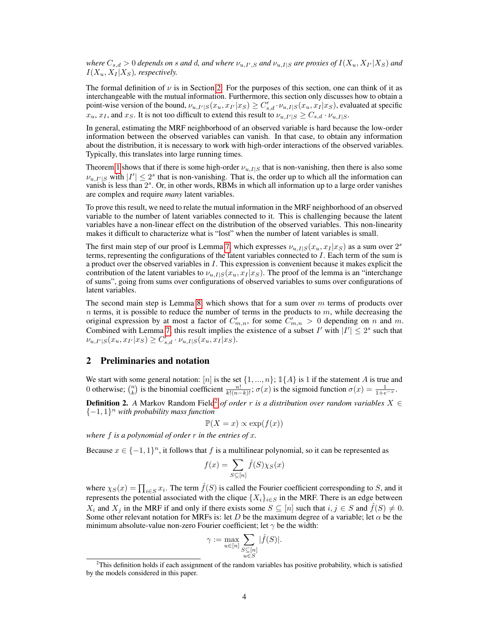$\omega_{s,d}>0$  depends on  $s$  and  $d$ , and where  $\nu_{u,I',S}$  and  $\nu_{u,I|S}$  are proxies of  $I(X_u,X_{I'}|X_S)$  and  $I(X_u, X_I | X_S)$ , respectively.

The formal definition of  $\nu$  is in Section [2.](#page-3-0) For the purposes of this section, one can think of it as interchangeable with the mutual information. Furthermore, this section only discusses how to obtain a point-wise version of the bound,  $\nu_{u,I'|S}(x_u,x_{I'}|x_S) \geq C'_{s,d} \cdot \nu_{u,I|S}(x_u,x_{I}|x_S)$ , evaluated at specific  $x_u, x_I$ , and  $x_S$ . It is not too difficult to extend this result to  $\nu_{u,I'|S} \geq C_{s,d} \cdot \nu_{u,I|S}$ .

In general, estimating the MRF neighborhood of an observed variable is hard because the low-order information between the observed variables can vanish. In that case, to obtain any information about the distribution, it is necessary to work with high-order interactions of the observed variables. Typically, this translates into large running times.

Theorem [1](#page-2-1) shows that if there is some high-order  $\nu_{u,I|S}$  that is non-vanishing, then there is also some  $\nu_{u,I'|S}$  with  $|I'| \leq 2^s$  that is non-vanishing. That is, the order up to which all the information can vanish is less than  $2<sup>s</sup>$ . Or, in other words, RBMs in which all information up to a large order vanishes are complex and require *many* latent variables.

To prove this result, we need to relate the mutual information in the MRF neighborhood of an observed variable to the number of latent variables connected to it. This is challenging because the latent variables have a non-linear effect on the distribution of the observed variables. This non-linearity makes it difficult to characterize what is "lost" when the number of latent variables is small.

The first main step of our proof is Lemma [7,](#page-6-0) which expresses  $\nu_{u,I|S}(x_u, x_I | x_S)$  as a sum over  $2<sup>s</sup>$ terms, representing the configurations of the latent variables connected to I. Each term of the sum is a product over the observed variables in I. This expression is convenient because it makes explicit the contribution of the latent variables to  $\nu_{u,I|S}(x_u, x_I | x_S)$ . The proof of the lemma is an "interchange" of sums", going from sums over configurations of observed variables to sums over configurations of latent variables.

The second main step is Lemma [8,](#page-6-1) which shows that for a sum over  $m$  terms of products over  $n$  terms, it is possible to reduce the number of terms in the products to  $m$ , while decreasing the original expression by at most a factor of  $C'_{m,n}$ , for some  $C'_{m,n} > 0$  depending on n and m. Combined with Lemma [7,](#page-6-0) this result implies the existence of a subset I' with  $|I'| \leq 2^s$  such that  $\nu_{u,I'|S}(x_u, x_{I'}|x_S) \geq C'_{s,d} \cdot \nu_{u,I|S}(x_u, x_I|x_S).$ 

# <span id="page-3-0"></span>2 Preliminaries and notation

We start with some general notation: [n] is the set  $\{1, ..., n\}$ ;  $\mathbb{1}{A}$  is 1 if the statement A is true and 0 otherwise;  $\binom{n}{k}$  is the binomial coefficient  $\frac{n!}{k!(n-k)!}$ ;  $\sigma(x)$  is the sigmoid function  $\sigma(x) = \frac{1}{1+e^{-x}}$ .

**Definition [2](#page-0-0).** A Markov Random Field<sup>2</sup> of order r is a distribution over random variables  $X \in$ {−1, 1} <sup>n</sup> *with probability mass function*

$$
\mathbb{P}(X=x) \propto \exp(f(x))
$$

*where* f *is a polynomial of order* r *in the entries of* x*.*

Because  $x \in \{-1,1\}^n$ , it follows that f is a multilinear polynomial, so it can be represented as

$$
f(x) = \sum_{S \subseteq [n]} \hat{f}(S) \chi_S(x)
$$

where  $\chi_S(x) = \prod_{i \in S} x_i$ . The term  $\hat{f}(S)$  is called the Fourier coefficient corresponding to S, and it represents the potential associated with the clique  $\{X_i\}_{i\in S}$  in the MRF. There is an edge between  $X_i$  and  $X_j$  in the MRF if and only if there exists some  $S \subseteq [n]$  such that  $i, j \in S$  and  $\hat{f}(S) \neq 0$ . Some other relevant notation for MRFs is: let D be the maximum degree of a variable; let  $\alpha$  be the minimum absolute-value non-zero Fourier coefficient; let  $\gamma$  be the width:

$$
\gamma := \max_{u \in [n]} \sum_{\substack{S \subseteq [n] \\ u \in S}} |\widehat{f}(S)|.
$$

 $2$ This definition holds if each assignment of the random variables has positive probability, which is satisfied by the models considered in this paper.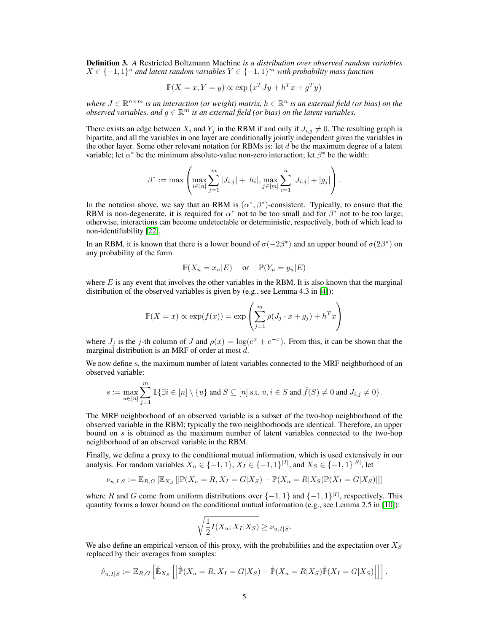Definition 3. *A* Restricted Boltzmann Machine *is a distribution over observed random variables*  $X \in \{-1,1\}^n$  and latent random variables  $Y \in \{-1,1\}^m$  with probability mass function

$$
\mathbb{P}(X = x, Y = y) \propto \exp(x^T J y + h^T x + g^T y)
$$

where  $J \in \mathbb{R}^{n \times m}$  is an interaction (or weight) matrix,  $h \in \mathbb{R}^n$  is an external field (or bias) on the *observed variables, and*  $g \in \mathbb{R}^m$  is an external field (or bias) on the latent variables.

There exists an edge between  $X_i$  and  $Y_j$  in the RBM if and only if  $J_{i,j} \neq 0$ . The resulting graph is bipartite, and all the variables in one layer are conditionally jointly independent given the variables in the other layer. Some other relevant notation for RBMs is: let  $d$  be the maximum degree of a latent variable; let  $\alpha^*$  be the minimum absolute-value non-zero interaction; let  $\beta^*$  be the width:

$$
\beta^* := \max \left( \max_{i \in [n]} \sum_{j=1}^m |J_{i,j}| + |h_i|, \max_{j \in [m]} \sum_{i=1}^n |J_{i,j}| + |g_j| \right).
$$

In the notation above, we say that an RBM is  $(\alpha^*, \beta^*)$ -consistent. Typically, to ensure that the RBM is non-degenerate, it is required for  $\alpha^*$  not to be too small and for  $\beta^*$  not to be too large; otherwise, interactions can become undetectable or deterministic, respectively, both of which lead to non-identifiability [\[22\]](#page-10-7).

In an RBM, it is known that there is a lower bound of  $\sigma(-2\beta^*)$  and an upper bound of  $\sigma(2\beta^*)$  on any probability of the form

$$
\mathbb{P}(X_u = x_u | E) \quad \text{or} \quad \mathbb{P}(Y_u = y_u | E)
$$

where  $E$  is any event that involves the other variables in the RBM. It is also known that the marginal distribution of the observed variables is given by (e.g., see Lemma 4.3 in [\[4\]](#page-9-15)):

$$
\mathbb{P}(X = x) \propto \exp(f(x)) = \exp\left(\sum_{j=1}^{m} \rho(J_j \cdot x + g_j) + h^T x\right)
$$

where  $J_j$  is the j-th column of J and  $\rho(x) = \log(e^x + e^{-x})$ . From this, it can be shown that the marginal distribution is an MRF of order at most d.

We now define  $s$ , the maximum number of latent variables connected to the MRF neighborhood of an observed variable:

$$
s:=\max_{u\in [n]}\sum_{j=1}^m\mathbbm{1}\{\exists i\in [n]\setminus\{u\} \text{ and } S\subseteq [n] \text{ s.t. } u,i\in S \text{ and } \hat{f}(S)\neq 0 \text{ and } J_{i,j}\neq 0\}.
$$

The MRF neighborhood of an observed variable is a subset of the two-hop neighborhood of the observed variable in the RBM; typically the two neighborhoods are identical. Therefore, an upper bound on s is obtained as the maximum number of latent variables connected to the two-hop neighborhood of an observed variable in the RBM.

Finally, we define a proxy to the conditional mutual information, which is used extensively in our analysis. For random variables  $X_u \in \{-1, 1\}$ ,  $X_I \in \{-1, 1\}^{|I|}$ , and  $X_S \in \{-1, 1\}^{|S|}$ , let

$$
\nu_{u,I|S} := \mathbb{E}_{R,G}\left[\mathbb{E}_{X_S}\left[\|\mathbb{P}(X_u = R, X_I = G | X_S) - \mathbb{P}(X_u = R | X_S)\mathbb{P}(X_I = G | X_S)\right]\right]
$$

where R and G come from uniform distributions over  $\{-1,1\}$  and  $\{-1,1\}^{|I|}$ , respectively. This quantity forms a lower bound on the conditional mutual information (e.g., see Lemma 2.5 in [\[10\]](#page-9-11)):

$$
\sqrt{\frac{1}{2}I(X_u; X_I|X_S)} \ge \nu_{u, I|S}.
$$

We also define an empirical version of this proxy, with the probabilities and the expectation over  $X_S$ replaced by their averages from samples:

$$
\hat{\nu}_{u,I|S} := \mathbb{E}_{R,G} \left[ \hat{\mathbb{E}}_{X_S} \left[ \left| \hat{\mathbb{P}}(X_u = R, X_I = G | X_S) - \hat{\mathbb{P}}(X_u = R | X_S) \hat{\mathbb{P}}(X_I = G | X_S) \right| \right] \right].
$$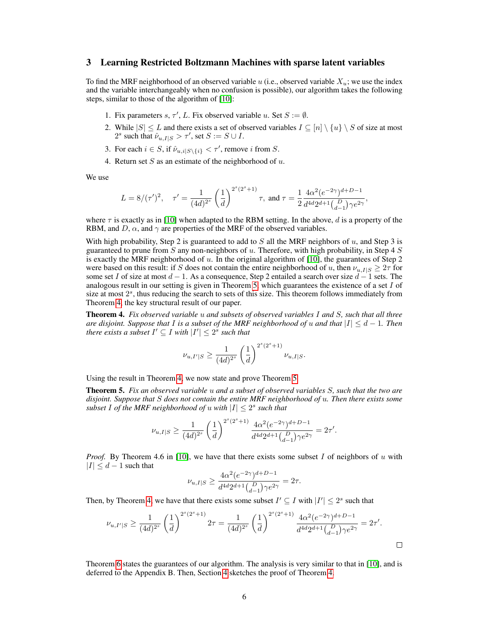### <span id="page-5-2"></span>3 Learning Restricted Boltzmann Machines with sparse latent variables

To find the MRF neighborhood of an observed variable u (i.e., observed variable  $X_u$ ; we use the index and the variable interchangeably when no confusion is possible), our algorithm takes the following steps, similar to those of the algorithm of [\[10\]](#page-9-11):

- 1. Fix parameters s,  $\tau'$ , L. Fix observed variable u. Set  $S := \emptyset$ .
- 2. While  $|S| \leq L$  and there exists a set of observed variables  $I \subseteq [n] \setminus \{u\} \setminus S$  of size at most 2<sup>*s*</sup> such that  $\hat{\nu}_{u,I|S} > \tau'$ , set  $S := S \cup I$ .
- 3. For each  $i \in S$ , if  $\hat{\nu}_{u,i|S \setminus \{i\}} < \tau'$ , remove i from S.
- 4. Return set  $S$  as an estimate of the neighborhood of  $u$ .

We use

$$
L = 8/(\tau')^2, \quad \tau' = \frac{1}{(4d)^{2^s}} \left(\frac{1}{d}\right)^{2^s(2^s+1)} \tau, \text{ and } \tau = \frac{1}{2} \frac{4\alpha^2 (e^{-2\gamma})^{d+D-1}}{d^{4d}2^{d+1} {D \choose d-1} \gamma e^{2\gamma}},
$$

where  $\tau$  is exactly as in [\[10\]](#page-9-11) when adapted to the RBM setting. In the above, d is a property of the RBM, and D,  $\alpha$ , and  $\gamma$  are properties of the MRF of the observed variables.

With high probability, Step 2 is guaranteed to add to  $S$  all the MRF neighbors of  $u$ , and Step 3 is guaranteed to prune from S any non-neighbors of  $u$ . Therefore, with high probability, in Step 4 S is exactly the MRF neighborhood of  $u$ . In the original algorithm of [\[10\]](#page-9-11), the guarantees of Step 2 were based on this result: if S does not contain the entire neighborhood of u, then  $\nu_{u,I|S} \geq 2\tau$  for some set I of size at most  $d-1$ . As a consequence, Step 2 entailed a search over size  $d-1$  sets. The analogous result in our setting is given in Theorem [5,](#page-5-1) which guarantees the existence of a set  $I$  of size at most  $2<sup>s</sup>$ , thus reducing the search to sets of this size. This theorem follows immediately from Theorem [4,](#page-5-0) the key structural result of our paper.

<span id="page-5-0"></span>Theorem 4. *Fix observed variable* u *and subsets of observed variables* I *and* S*, such that all three are disjoint. Suppose that* I *is a subset of the MRF neighborhood of u and that*  $|I| \leq d - 1$ *. Then there exists a subset*  $I' \subseteq I$  *with*  $|I'| \leq 2^s$  *such that* 

$$
\nu_{u,I'|S}\geq \frac{1}{(4d)^{2^s}}\left(\frac{1}{d}\right)^{2^s(2^s+1)}\nu_{u,I|S}.
$$

Using the result in Theorem [4,](#page-5-0) we now state and prove Theorem [5.](#page-5-1)

<span id="page-5-1"></span>Theorem 5. *Fix an observed variable* u *and a subset of observed variables* S*, such that the two are disjoint. Suppose that* S *does not contain the entire MRF neighborhood of* u*. Then there exists some subset* I of the MRF neighborhood of u with  $|I| \leq 2^s$  such that

$$
\nu_{u,I|S} \ge \frac{1}{(4d)^{2^s}} \left(\frac{1}{d}\right)^{2^s(2^s+1)} \frac{4\alpha^2 (e^{-2\gamma})^{d+D-1}}{d^{4d}2^{d+1} {D \choose d-1} \gamma e^{2\gamma}} = 2\tau'.
$$

*Proof.* By Theorem 4.6 in [\[10\]](#page-9-11), we have that there exists some subset I of neighbors of u with  $|I| \leq d-1$  such that

$$
\nu_{u,I|S} \ge \frac{4\alpha^2 (e^{-2\gamma})^{d+D-1}}{d^{4d} 2^{d+1} {D \choose d-1} \gamma e^{2\gamma}} = 2\tau.
$$

Then, by Theorem [4,](#page-5-0) we have that there exists some subset  $I' \subseteq I$  with  $|I'| \leq 2^s$  such that

$$
\nu_{u,I'|S} \ge \frac{1}{(4d)^{2^s}} \left(\frac{1}{d}\right)^{2^s(2^s+1)} 2\tau = \frac{1}{(4d)^{2^s}} \left(\frac{1}{d}\right)^{2^s(2^s+1)} \frac{4\alpha^2 (e^{-2\gamma})^{d+D-1}}{d^{4d}2^{d+1} {D \choose d-1} \gamma e^{2\gamma}} = 2\tau'.
$$

Theorem [6](#page-6-2) states the guarantees of our algorithm. The analysis is very similar to that in [\[10\]](#page-9-11), and is deferred to the Appendix B. Then, Section [4](#page-6-3) sketches the proof of Theorem [4.](#page-5-0)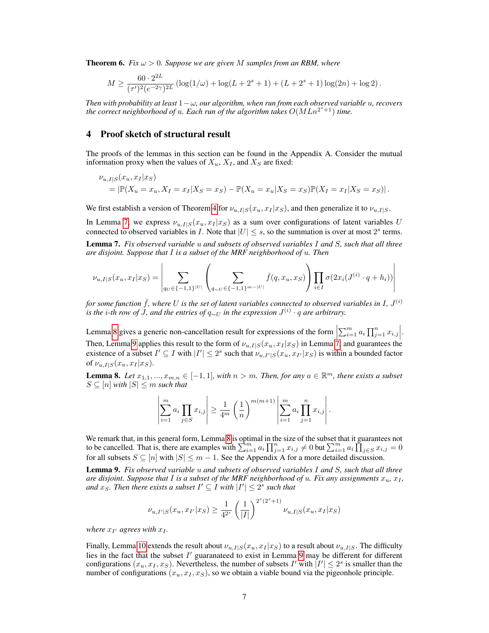<span id="page-6-2"></span>**Theorem 6.** Fix  $\omega > 0$ . Suppose we are given M samples from an RBM, where

$$
M \ge \frac{60 \cdot 2^{2L}}{(\tau')^2 (e^{-2\gamma})^{2L}} \left( \log(1/\omega) + \log(L + 2^s + 1) + (L + 2^s + 1) \log(2n) + \log 2 \right).
$$

*Then with probability at least*  $1 - \omega$ *, our algorithm, when run from each observed variable u, recovers* the correct neighborhood of  $u$ . Each run of the algorithm takes  $O(MLn^{2^s+1})$  time.

# <span id="page-6-3"></span>4 Proof sketch of structural result

 $\mathbf{r}$ 

The proofs of the lemmas in this section can be found in the Appendix A. Consider the mutual information proxy when the values of  $X_u$ ,  $X_I$ , and  $X_S$  are fixed:

$$
\nu_{u,I|S}(x_u, x_I|x_S) = |\mathbb{P}(X_u = x_u, X_I = x_I|X_S = x_S) - \mathbb{P}(X_u = x_u|X_S = x_S)\mathbb{P}(X_I = x_I|X_S = x_S)|.
$$

We first establish a version of Theorem [4](#page-5-0) for  $\nu_{u,I|S}(x_u, x_I | x_S)$ , and then generalize it to  $\nu_{u,I|S}$ .

In Lemma [7,](#page-6-0) we express  $\nu_{u,I|S}(x_u, x_I |x_S)$  as a sum over configurations of latent variables U connected to observed variables in I. Note that  $|U| \leq s$ , so the summation is over at most  $2^s$  terms.

<span id="page-6-0"></span>Lemma 7. *Fix observed variable* u *and subsets of observed variables* I *and* S*, such that all three are disjoint. Suppose that* I *is a subset of the MRF neighborhood of* u*. Then*

 $\overline{\phantom{a}}$ 

$$
\nu_{u,I|S}(x_u, x_I|x_S) = \left| \sum_{q_U \in \{-1,1\}^{|U|}} \left( \sum_{q_{\sim U} \in \{-1,1\}^{m-|U|}} \bar{f}(q, x_u, x_S) \right) \prod_{i \in I} \sigma(2x_i(J^{(i)} \cdot q + h_i)) \right|
$$

for some function  $\bar{f}$ , where  $U$  is the set of latent variables connected to observed variables in I,  $J^{(i)}$ *is the i-th row of J, and the entries of*  $q_{\sim U}$  *in the expression*  $J^{(i)} \cdot q$  *are arbitrary.* 

Lemma [8](#page-6-1) gives a generic non-cancellation result for expressions of the form  $\left|\sum_{i=1}^m a_i \prod_{j=1}^n x_{i,j}\right|$ . Then, Lemma [9](#page-6-4) applies this result to the form of  $\nu_{u,I|S}(x_u, x_I | x_S)$  in Lemma [7,](#page-6-0) and guarantees the existence of a subset  $I' \subseteq I$  with  $|I'| \leq 2^s$  such that  $\nu_{u,I'|S}(x_u, x_{I'}|x_S)$  is within a bounded factor of  $\nu_{u,I|S}(x_u, x_I | x_S)$ .

<span id="page-6-1"></span>**Lemma 8.** Let  $x_{1,1},...,x_{m,n} \in [-1,1]$ , with  $n > m$ . Then, for any  $a \in \mathbb{R}^m$ , there exists a subset  $S \subseteq [n]$  *with*  $|S| \leq m$  *such that* 

$$
\left| \sum_{i=1}^{m} a_i \prod_{j \in S} x_{i,j} \right| \ge \frac{1}{4^m} \left( \frac{1}{n} \right)^{m(m+1)} \left| \sum_{i=1}^{m} a_i \prod_{j=1}^{n} x_{i,j} \right|.
$$

We remark that, in this general form, Lemma [8](#page-6-1) is optimal in the size of the subset that it guarantees not to be cancelled. That is, there are examples with  $\sum_{i=1}^{m} a_i \prod_{j=1}^{n} x_{i,j} \neq 0$  but  $\sum_{i=1}^{m} a_i \prod_{j \in S} x_{i,j} = 0$ for all subsets  $S \subseteq [n]$  with  $|S| \leq m - 1$ . See the Appendix A for a more detailed discussion.

<span id="page-6-4"></span>Lemma 9. *Fix observed variable* u *and subsets of observed variables* I *and* S*, such that all three are disjoint. Suppose that* I *is a subset of the MRF neighborhood of u. Fix any assignments*  $x_u$ ,  $x_l$ , and  $x_S$ . Then there exists a subset  $I' \subseteq I$  with  $|I'| \leq 2^s$  such that

$$
\nu_{u,I'|S}(x_u,x_{I'}|x_S) \geq \frac{1}{4^{2^s}}\left(\frac{1}{|I|}\right)^{2^s(2^s+1)}\nu_{u,I|S}(x_u,x_I|x_S)
$$

where  $x_{I'}$  agrees with  $x_{I}$ .

Finally, Lemma [10](#page-7-0) extends the result about  $\nu_{u,I|S}(x_u, x_I | x_S)$  to a result about  $\nu_{u,I|S}$ . The difficulty lies in the fact that the subset  $I'$  guaranateed to exist in Lemma [9](#page-6-4) may be different for different configurations  $(x_u, x_I, x_S)$ . Nevertheless, the number of subsets I' with  $|I'| \leq 2^s$  is smaller than the number of configurations  $(x_u, x_l, x_S)$ , so we obtain a viable bound via the pigeonhole principle.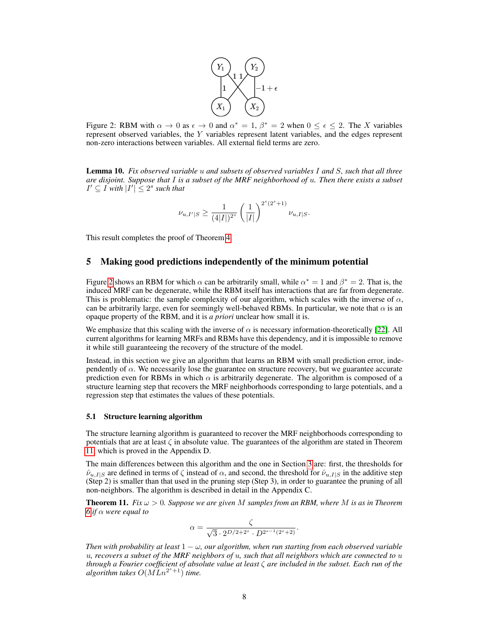

<span id="page-7-1"></span>Figure 2: RBM with  $\alpha \to 0$  as  $\epsilon \to 0$  and  $\alpha^* = 1$ ,  $\beta^* = 2$  when  $0 \le \epsilon \le 2$ . The X variables represent observed variables, the Y variables represent latent variables, and the edges represent non-zero interactions between variables. All external field terms are zero.

<span id="page-7-0"></span>Lemma 10. *Fix observed variable* u *and subsets of observed variables* I *and* S*, such that all three are disjoint. Suppose that* I *is a subset of the MRF neighborhood of* u*. Then there exists a subset*  $I' \subseteq I$  *with*  $|I'| \leq 2^s$  *such that* 

$$
\nu_{u,I'|S} \ge \frac{1}{(4|I|)^{2^s}} \left(\frac{1}{|I|}\right)^{2^s(2^s+1)} \nu_{u,I|S}.
$$

This result completes the proof of Theorem [4.](#page-5-0)

## 5 Making good predictions independently of the minimum potential

Figure [2](#page-7-1) shows an RBM for which  $\alpha$  can be arbitrarily small, while  $\alpha^* = 1$  and  $\beta^* = 2$ . That is, the induced MRF can be degenerate, while the RBM itself has interactions that are far from degenerate. This is problematic: the sample complexity of our algorithm, which scales with the inverse of  $\alpha$ , can be arbitrarily large, even for seemingly well-behaved RBMs. In particular, we note that  $\alpha$  is an opaque property of the RBM, and it is *a priori* unclear how small it is.

We emphasize that this scaling with the inverse of  $\alpha$  is necessary information-theoretically [\[22\]](#page-10-7). All current algorithms for learning MRFs and RBMs have this dependency, and it is impossible to remove it while still guaranteeing the recovery of the structure of the model.

Instead, in this section we give an algorithm that learns an RBM with small prediction error, independently of  $\alpha$ . We necessarily lose the guarantee on structure recovery, but we guarantee accurate prediction even for RBMs in which  $\alpha$  is arbitrarily degenerate. The algorithm is composed of a structure learning step that recovers the MRF neighborhoods corresponding to large potentials, and a regression step that estimates the values of these potentials.

#### <span id="page-7-3"></span>5.1 Structure learning algorithm

The structure learning algorithm is guaranteed to recover the MRF neighborhoods corresponding to potentials that are at least  $\zeta$  in absolute value. The guarantees of the algorithm are stated in Theorem [11,](#page-7-2) which is proved in the Appendix D.

The main differences between this algorithm and the one in Section [3](#page-5-2) are: first, the thresholds for  $\hat{\nu}_{u,I|S}$  are defined in terms of  $\zeta$  instead of  $\alpha$ , and second, the threshold for  $\hat{\nu}_{u,I|S}$  in the additive step (Step 2) is smaller than that used in the pruning step (Step 3), in order to guarantee the pruning of all non-neighbors. The algorithm is described in detail in the Appendix C.

<span id="page-7-2"></span>**Theorem 11.** *Fix*  $\omega > 0$ *. Suppose we are given* M *samples from an RBM, where* M *is as in Theorem [6](#page-6-2) if*  $\alpha$  *were equal to* 

$$
\alpha = \frac{\zeta}{\sqrt{3} \cdot 2^{D/2 + 2^s} \cdot D^{2^{s-1}(2^s + 2)}}.
$$

*Then with probability at least*  $1 - \omega$ , *our algorithm, when run starting from each observed variable* u*, recovers a subset of the MRF neighbors of* u*, such that all neighbors which are connected to* u *through a Fourier coefficient of absolute value at least* ζ *are included in the subset. Each run of the*  $a$ lgorithm takes  $O(MLn^{2^s+1})$  time.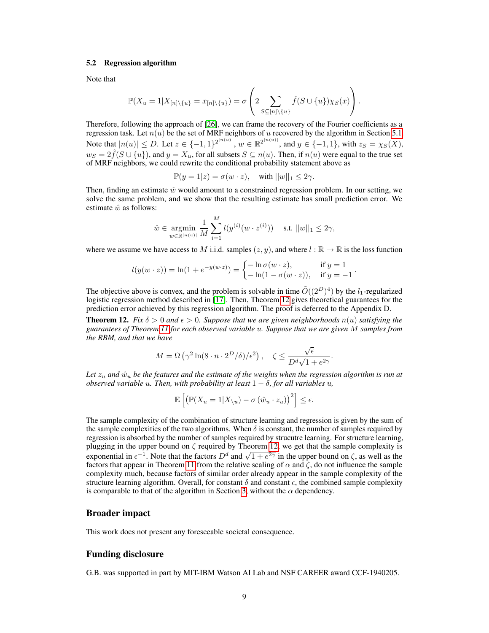#### 5.2 Regression algorithm

Note that

$$
\mathbb{P}(X_u = 1 | X_{[n] \setminus \{u\}} = x_{[n] \setminus \{u\}}) = \sigma \left( 2 \sum_{S \subseteq [n] \setminus \{u\}} \hat{f}(S \cup \{u\}) \chi_S(x) \right).
$$

Therefore, following the approach of [\[26\]](#page-10-8), we can frame the recovery of the Fourier coefficients as a regression task. Let  $n(u)$  be the set of MRF neighbors of u recovered by the algorithm in Section [5.1.](#page-7-3) Note that  $|n(u)| \le D$ . Let  $z \in \{-1,1\}^{2^{|n(u)|}}$ ,  $w \in \mathbb{R}^{2^{|n(u)|}}$ , and  $y \in \{-1,1\}$ , with  $z_S = \chi_S(X)$ ,  $w_S = 2 \hat{f}(S \cup \{u\})$ , and  $y = X_u$ , for all subsets  $S \subseteq n(u)$ . Then, if  $n(u)$  were equal to the true set of MRF neighbors, we could rewrite the conditional probability statement above as

$$
\mathbb{P}(y=1|z) = \sigma(w \cdot z), \quad \text{with } ||w||_1 \le 2\gamma.
$$

Then, finding an estimate  $\hat{w}$  would amount to a constrained regression problem. In our setting, we solve the same problem, and we show that the resulting estimate has small prediction error. We estimate  $\hat{w}$  as follows:

$$
\hat{w} \in \mathop{\rm argmin}_{w \in \mathbb{R}^{\mid n(u) \mid}} \frac{1}{M} \sum_{i=1}^{M} l(y^{(i)}(w \cdot z^{(i)})) \quad \text{s.t. } ||w||_1 \leq 2\gamma,
$$

where we assume we have access to M i.i.d. samples  $(z, y)$ , and where  $l : \mathbb{R} \to \mathbb{R}$  is the loss function

$$
l(y(w \cdot z)) = \ln(1 + e^{-y(w \cdot z)}) = \begin{cases} -\ln \sigma(w \cdot z), & \text{if } y = 1\\ -\ln(1 - \sigma(w \cdot z)), & \text{if } y = -1 \end{cases}
$$

.

The objective above is convex, and the problem is solvable in time  $\tilde{O}((2^D)^4)$  by the  $l_1$ -regularized logistic regression method described in [\[17\]](#page-9-17). Then, Theorem [12](#page-8-0) gives theoretical guarantees for the prediction error achieved by this regression algorithm. The proof is deferred to the Appendix D.

<span id="page-8-0"></span>**Theorem 12.** *Fix*  $\delta > 0$  *and*  $\epsilon > 0$ *. Suppose that we are given neighborhoods*  $n(u)$  *satisfying the guarantees of Theorem [11](#page-7-2) for each observed variable* u*. Suppose that we are given* M *samples from the RBM, and that we have*

$$
M = \Omega\left(\gamma^2 \ln(8 \cdot n \cdot 2^D/\delta)/\epsilon^2\right), \quad \zeta \le \frac{\sqrt{\epsilon}}{D^d \sqrt{1 + e^{2\gamma}}}.
$$

Let  $z_u$  and  $\hat{w}_u$  be the features and the estimate of the weights when the regression algorithm is run at *observed variable u. Then, with probability at least*  $1 - \delta$ *, for all variables u,* 

$$
\mathbb{E}\left[\left(\mathbb{P}(X_u=1|X_{\setminus u})-\sigma\left(\hat{w}_u\cdot z_u\right)\right)^2\right]\leq\epsilon.
$$

The sample complexity of the combination of structure learning and regression is given by the sum of the sample complexities of the two algorithms. When  $\delta$  is constant, the number of samples required by regression is absorbed by the number of samples required by strucutre learning. For structure learning, plugging in the upper bound on  $\zeta$  required by Theorem [12,](#page-8-0) we get that the sample complexity is plugging in the upper bound on  $\zeta$  required by Theorem 12, we get that the sample complexity is exponential in  $\epsilon^{-1}$ . Note that the factors  $D^d$  and  $\sqrt{1 + e^{2\gamma}}$  in the upper bound on  $\zeta$ , as well as the factors that appear in Theorem [11](#page-7-2) from the relative scaling of  $\alpha$  and  $\zeta$ , do not influence the sample complexity much, because factors of similar order already appear in the sample complexity of the structure learning algorithm. Overall, for constant  $\delta$  and constant  $\epsilon$ , the combined sample complexity is comparable to that of the algorithm in Section [3,](#page-5-2) without the  $\alpha$  dependency.

# Broader impact

This work does not present any foreseeable societal consequence.

# Funding disclosure

G.B. was supported in part by MIT-IBM Watson AI Lab and NSF CAREER award CCF-1940205.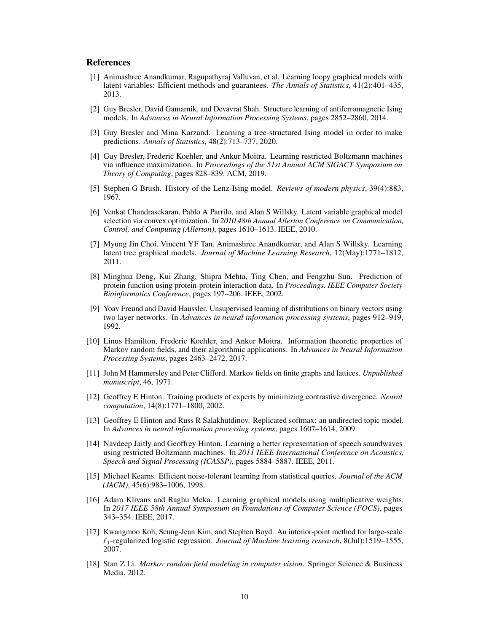## References

- <span id="page-9-6"></span>[1] Animashree Anandkumar, Ragupathyraj Valluvan, et al. Learning loopy graphical models with latent variables: Efficient methods and guarantees. *The Annals of Statistics*, 41(2):401–435, 2013.
- <span id="page-9-13"></span>[2] Guy Bresler, David Gamarnik, and Devavrat Shah. Structure learning of antiferromagnetic Ising models. In *Advances in Neural Information Processing Systems*, pages 2852–2860, 2014.
- <span id="page-9-16"></span>[3] Guy Bresler and Mina Karzand. Learning a tree-structured Ising model in order to make predictions. *Annals of Statistics*, 48(2):713–737, 2020.
- <span id="page-9-15"></span>[4] Guy Bresler, Frederic Koehler, and Ankur Moitra. Learning restricted Boltzmann machines via influence maximization. In *Proceedings of the 51st Annual ACM SIGACT Symposium on Theory of Computing*, pages 828–839. ACM, 2019.
- <span id="page-9-1"></span>[5] Stephen G Brush. History of the Lenz-Ising model. *Reviews of modern physics*, 39(4):883, 1967.
- <span id="page-9-5"></span>[6] Venkat Chandrasekaran, Pablo A Parrilo, and Alan S Willsky. Latent variable graphical model selection via convex optimization. In *2010 48th Annual Allerton Conference on Communication, Control, and Computing (Allerton)*, pages 1610–1613. IEEE, 2010.
- <span id="page-9-4"></span>[7] Myung Jin Choi, Vincent YF Tan, Animashree Anandkumar, and Alan S Willsky. Learning latent tree graphical models. *Journal of Machine Learning Research*, 12(May):1771–1812, 2011.
- <span id="page-9-3"></span>[8] Minghua Deng, Kui Zhang, Shipra Mehta, Ting Chen, and Fengzhu Sun. Prediction of protein function using protein-protein interaction data. In *Proceedings. IEEE Computer Society Bioinformatics Conference*, pages 197–206. IEEE, 2002.
- <span id="page-9-7"></span>[9] Yoav Freund and David Haussler. Unsupervised learning of distributions on binary vectors using two layer networks. In *Advances in neural information processing systems*, pages 912–919, 1992.
- <span id="page-9-11"></span>[10] Linus Hamilton, Frederic Koehler, and Ankur Moitra. Information theoretic properties of Markov random fields, and their algorithmic applications. In *Advances in Neural Information Processing Systems*, pages 2463–2472, 2017.
- <span id="page-9-0"></span>[11] John M Hammersley and Peter Clifford. Markov fields on finite graphs and lattices. *Unpublished manuscript*, 46, 1971.
- <span id="page-9-8"></span>[12] Geoffrey E Hinton. Training products of experts by minimizing contrastive divergence. *Neural computation*, 14(8):1771–1800, 2002.
- <span id="page-9-9"></span>[13] Geoffrey E Hinton and Russ R Salakhutdinov. Replicated softmax: an undirected topic model. In *Advances in neural information processing systems*, pages 1607–1614, 2009.
- <span id="page-9-10"></span>[14] Navdeep Jaitly and Geoffrey Hinton. Learning a better representation of speech soundwaves using restricted Boltzmann machines. In *2011 IEEE International Conference on Acoustics, Speech and Signal Processing (ICASSP)*, pages 5884–5887. IEEE, 2011.
- <span id="page-9-14"></span>[15] Michael Kearns. Efficient noise-tolerant learning from statistical queries. *Journal of the ACM (JACM)*, 45(6):983–1006, 1998.
- <span id="page-9-12"></span>[16] Adam Klivans and Raghu Meka. Learning graphical models using multiplicative weights. In *2017 IEEE 58th Annual Symposium on Foundations of Computer Science (FOCS)*, pages 343–354. IEEE, 2017.
- <span id="page-9-17"></span>[17] Kwangmoo Koh, Seung-Jean Kim, and Stephen Boyd. An interior-point method for large-scale `1-regularized logistic regression. *Journal of Machine learning research*, 8(Jul):1519–1555, 2007.
- <span id="page-9-2"></span>[18] Stan Z Li. *Markov random field modeling in computer vision*. Springer Science & Business Media, 2012.